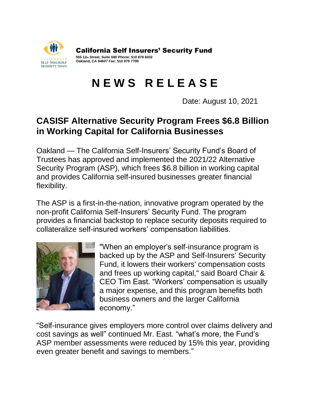

California Self Insurers' Security Fund

**555 12th Street, Suite 680 Phone: 510 879 6032 Oakland, CA 94607 Fax: 510 879 7709**

## **N E W S R E L E A S E**

Date: August 10, 2021

## **CASISF Alternative Security Program Frees \$6.8 Billion in Working Capital for California Businesses**

Oakland — The California Self-Insurers' Security Fund's Board of Trustees has approved and implemented the 2021/22 Alternative Security Program (ASP), which frees \$6.8 billion in working capital and provides California self-insured businesses greater financial flexibility.

The ASP is a first-in-the-nation, innovative program operated by the non-profit California Self-Insurers' Security Fund. The program provides a financial backstop to replace security deposits required to collateralize self-insured workers' compensation liabilities.



"When an employer's self-insurance program is backed up by the ASP and Self-Insurers' Security Fund, it lowers their workers' compensation costs and frees up working capital," said Board Chair & CEO Tim East. "Workers' compensation is usually a major expense, and this program benefits both business owners and the larger California economy."

"Self-insurance gives employers more control over claims delivery and cost savings as well" continued Mr. East. "what's more, the Fund's ASP member assessments were reduced by 15% this year, providing even greater benefit and savings to members."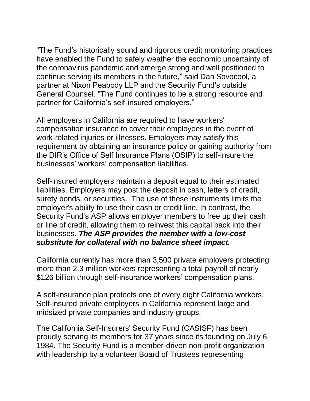"The Fund's historically sound and rigorous credit monitoring practices have enabled the Fund to safely weather the economic uncertainty of the coronavirus pandemic and emerge strong and well positioned to continue serving its members in the future," said Dan Sovocool, a partner at Nixon Peabody LLP and the Security Fund's outside General Counsel. "The Fund continues to be a strong resource and partner for California's self-insured employers."

All employers in California are required to have workers' compensation insurance to cover their employees in the event of work-related injuries or illnesses. Employers may satisfy this requirement by obtaining an insurance policy or gaining authority from the DIR's Office of Self Insurance Plans (OSIP) to self-insure the businesses' workers' compensation liabilities.

Self-insured employers maintain a deposit equal to their estimated liabilities. Employers may post the deposit in cash, letters of credit, surety bonds, or securities. The use of these instruments limits the employer's ability to use their cash or credit line. In contrast, the Security Fund's ASP allows employer members to free up their cash or line of credit, allowing them to reinvest this capital back into their businesses. *The ASP provides the member with a low-cost substitute for collateral with no balance sheet impact.*

California currently has more than 3,500 private employers protecting more than 2.3 million workers representing a total payroll of nearly \$126 billion through self-insurance workers' compensation plans.

A self-insurance plan protects one of every eight California workers. Self-insured private employers in California represent large and midsized private companies and industry groups.

The California Self-Insurers' Security Fund (CASISF) has been proudly serving its members for 37 years since its founding on July 6, 1984. The Security Fund is a member-driven non-profit organization with leadership by a volunteer Board of Trustees representing